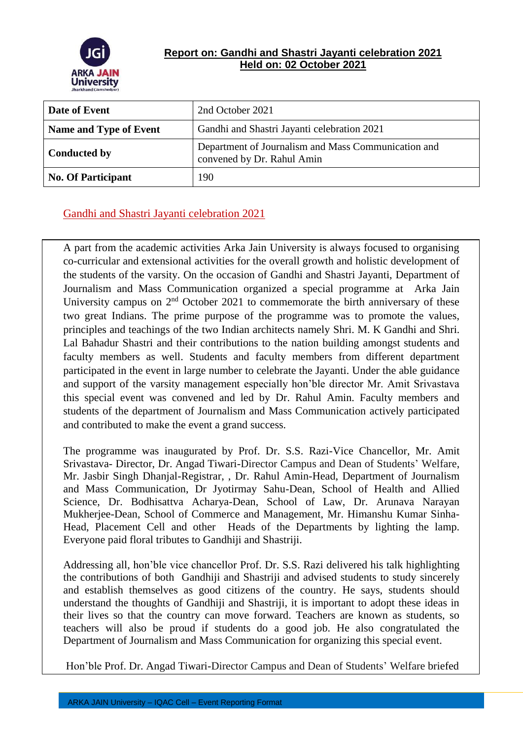

## **Report on: Gandhi and Shastri Jayanti celebration 2021 Held on: 02 October 2021**

| Date of Event             | 2nd October 2021                                                                  |
|---------------------------|-----------------------------------------------------------------------------------|
| Name and Type of Event    | Gandhi and Shastri Jayanti celebration 2021                                       |
| <b>Conducted by</b>       | Department of Journalism and Mass Communication and<br>convened by Dr. Rahul Amin |
| <b>No. Of Participant</b> | 190                                                                               |

## Gandhi and Shastri Jayanti celebration 2021

A part from the academic activities Arka Jain University is always focused to organising co-curricular and extensional activities for the overall growth and holistic development of the students of the varsity. On the occasion of Gandhi and Shastri Jayanti, Department of Journalism and Mass Communication organized a special programme at Arka Jain University campus on 2<sup>nd</sup> October 2021 to commemorate the birth anniversary of these two great Indians. The prime purpose of the programme was to promote the values, principles and teachings of the two Indian architects namely Shri. M. K Gandhi and Shri. Lal Bahadur Shastri and their contributions to the nation building amongst students and faculty members as well. Students and faculty members from different department participated in the event in large number to celebrate the Jayanti. Under the able guidance and support of the varsity management especially hon'ble director Mr. Amit Srivastava this special event was convened and led by Dr. Rahul Amin. Faculty members and students of the department of Journalism and Mass Communication actively participated and contributed to make the event a grand success.

The programme was inaugurated by Prof. Dr. S.S. Razi-Vice Chancellor, Mr. Amit Srivastava- Director, Dr. Angad Tiwari-Director Campus and Dean of Students' Welfare, Mr. Jasbir Singh Dhanjal-Registrar, , Dr. Rahul Amin-Head, Department of Journalism and Mass Communication, Dr Jyotirmay Sahu-Dean, School of Health and Allied Science, Dr. Bodhisattva Acharya-Dean, School of Law, Dr. Arunava Narayan Mukherjee-Dean, School of Commerce and Management, Mr. Himanshu Kumar Sinha-Head, Placement Cell and other Heads of the Departments by lighting the lamp. Everyone paid floral tributes to Gandhiji and Shastriji.

Addressing all, hon'ble vice chancellor Prof. Dr. S.S. Razi delivered his talk highlighting the contributions of both Gandhiji and Shastriji and advised students to study sincerely and establish themselves as good citizens of the country. He says, students should understand the thoughts of Gandhiji and Shastriji, it is important to adopt these ideas in their lives so that the country can move forward. Teachers are known as students, so teachers will also be proud if students do a good job. He also congratulated the Department of Journalism and Mass Communication for organizing this special event.

Hon'ble Prof. Dr. Angad Tiwari-Director Campus and Dean of Students' Welfare briefed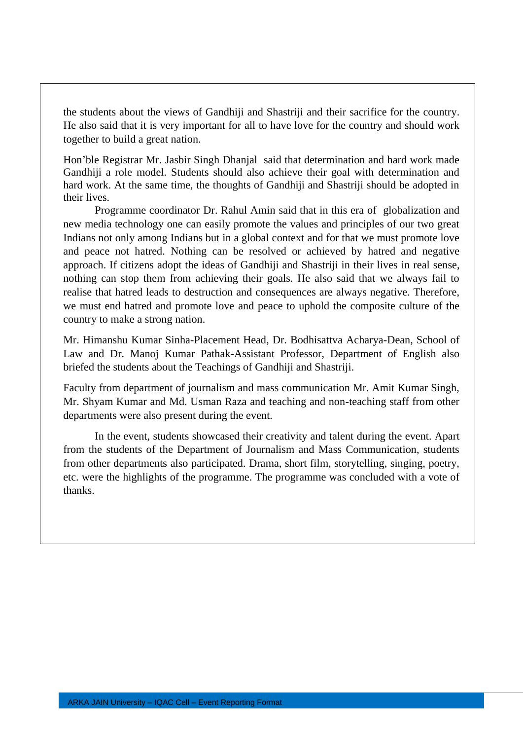the students about the views of Gandhiji and Shastriji and their sacrifice for the country. He also said that it is very important for all to have love for the country and should work together to build a great nation.

Hon'ble Registrar Mr. Jasbir Singh Dhanjal said that determination and hard work made Gandhiji a role model. Students should also achieve their goal with determination and hard work. At the same time, the thoughts of Gandhiji and Shastriji should be adopted in their lives.

Programme coordinator Dr. Rahul Amin said that in this era of globalization and new media technology one can easily promote the values and principles of our two great Indians not only among Indians but in a global context and for that we must promote love and peace not hatred. Nothing can be resolved or achieved by hatred and negative approach. If citizens adopt the ideas of Gandhiji and Shastriji in their lives in real sense, nothing can stop them from achieving their goals. He also said that we always fail to realise that hatred leads to destruction and consequences are always negative. Therefore, we must end hatred and promote love and peace to uphold the composite culture of the country to make a strong nation.

Mr. Himanshu Kumar Sinha-Placement Head, Dr. Bodhisattva Acharya-Dean, School of Law and Dr. Manoj Kumar Pathak-Assistant Professor, Department of English also briefed the students about the Teachings of Gandhiji and Shastriji.

Faculty from department of journalism and mass communication Mr. Amit Kumar Singh, Mr. Shyam Kumar and Md. Usman Raza and teaching and non-teaching staff from other departments were also present during the event.

In the event, students showcased their creativity and talent during the event. Apart from the students of the Department of Journalism and Mass Communication, students from other departments also participated. Drama, short film, storytelling, singing, poetry, etc. were the highlights of the programme. The programme was concluded with a vote of thanks.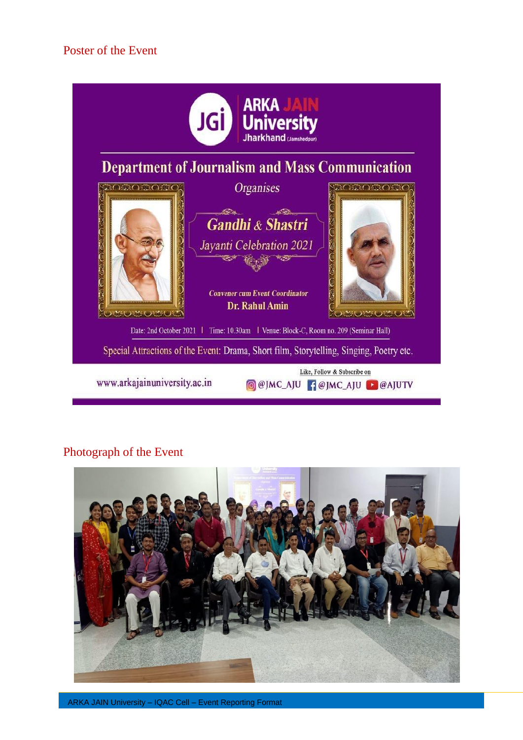

## Photograph of the Event